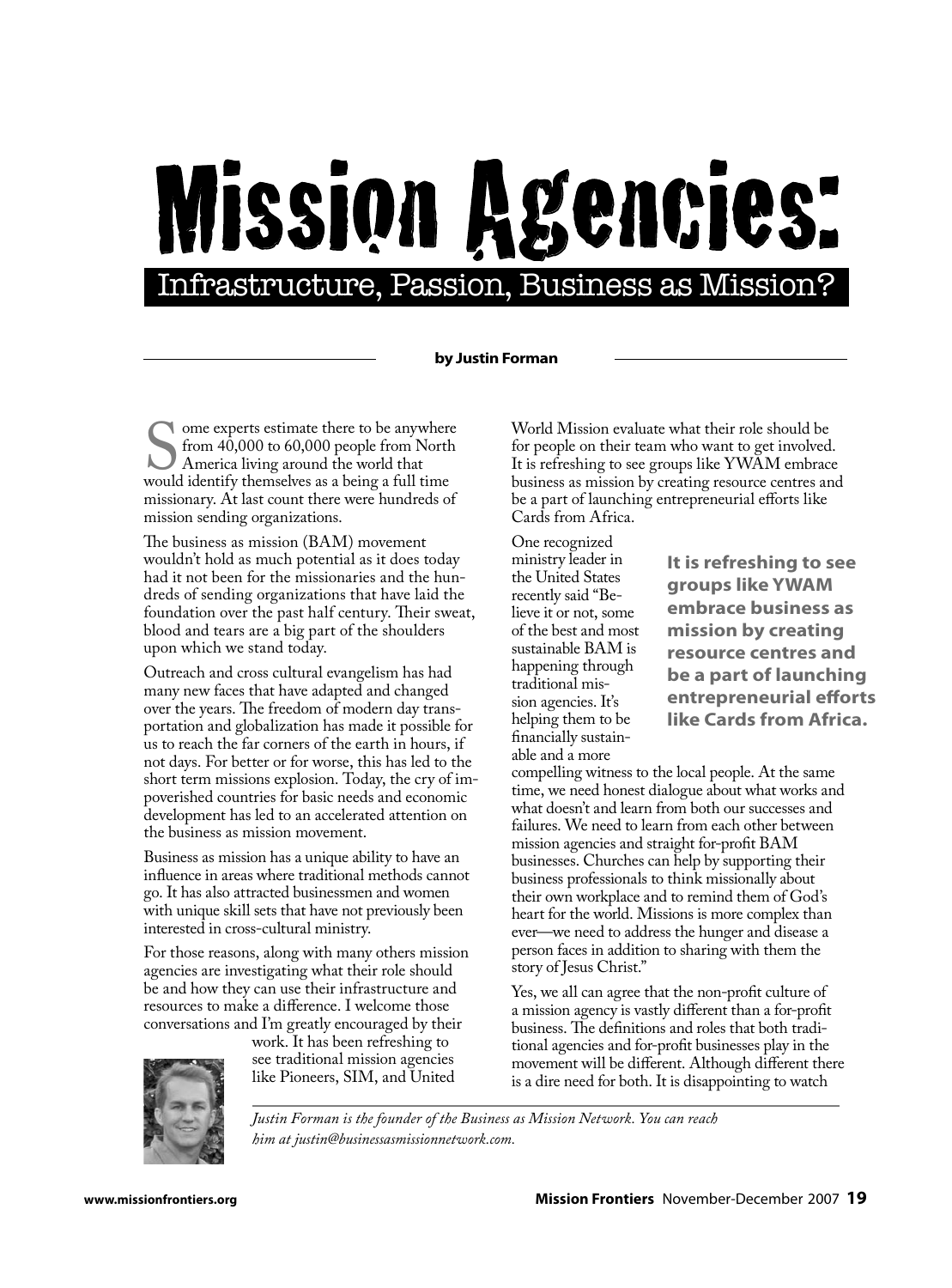## MISSION Agencies:

## **by Justin Forman**

Some experts estimate there to be anywhere<br>from 40,000 to 60,000 people from North<br>America living around the world that<br>would identify themselves as a being a full time from 40,000 to 60,000 people from North America living around the world that would identify themselves as a being a full time missionary. At last count there were hundreds of mission sending organizations.

The business as mission (BAM) movement wouldn't hold as much potential as it does today had it not been for the missionaries and the hundreds of sending organizations that have laid the foundation over the past half century. Their sweat, blood and tears are a big part of the shoulders upon which we stand today.

Outreach and cross cultural evangelism has had many new faces that have adapted and changed over the years. The freedom of modern day transportation and globalization has made it possible for us to reach the far corners of the earth in hours, if not days. For better or for worse, this has led to the short term missions explosion. Today, the cry of impoverished countries for basic needs and economic development has led to an accelerated attention on the business as mission movement.

Business as mission has a unique ability to have an influence in areas where traditional methods cannot go. It has also attracted businessmen and women with unique skill sets that have not previously been interested in cross-cultural ministry.

For those reasons, along with many others mission agencies are investigating what their role should be and how they can use their infrastructure and resources to make a difference. I welcome those conversations and I'm greatly encouraged by their

work. It has been refreshing to see traditional mission agencies like Pioneers, SIM, and United World Mission evaluate what their role should be for people on their team who want to get involved. It is refreshing to see groups like YWAM embrace business as mission by creating resource centres and be a part of launching entrepreneurial efforts like Cards from Africa.

One recognized ministry leader in the United States recently said "Believe it or not, some of the best and most sustainable BAM is happening through traditional mission agencies. It's helping them to be financially sustainable and a more

**It is refreshing to see groups like YWAM embrace business as mission by creating resource centres and be a part of launching entrepreneurial efforts like Cards from Africa.**

compelling witness to the local people. At the same time, we need honest dialogue about what works and what doesn't and learn from both our successes and failures. We need to learn from each other between mission agencies and straight for-profit BAM businesses. Churches can help by supporting their business professionals to think missionally about their own workplace and to remind them of God's heart for the world. Missions is more complex than ever—we need to address the hunger and disease a person faces in addition to sharing with them the story of Jesus Christ."

Yes, we all can agree that the non-profit culture of a mission agency is vastly different than a for-profit business. The definitions and roles that both traditional agencies and for-profit businesses play in the movement will be different. Although different there is a dire need for both. It is disappointing to watch

*Justin Forman is the founder of the Business as Mission Network. You can reach him at justin@businessasmissionnetwork.com.*